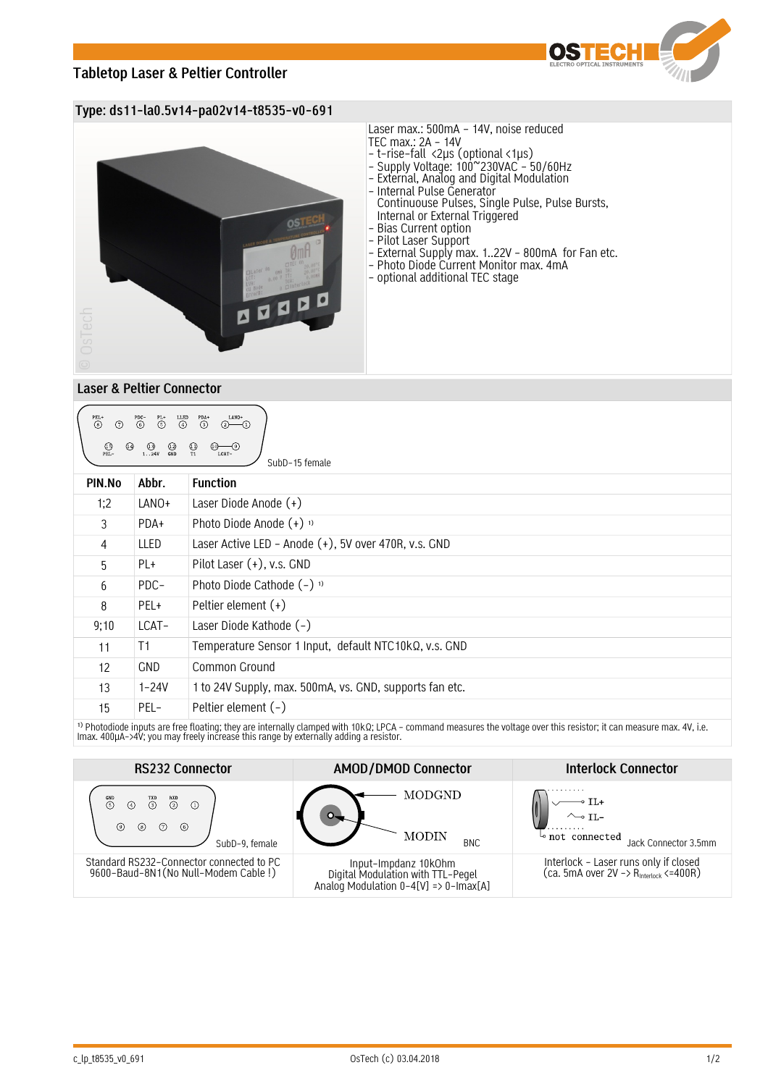# **Tabletop Laser & Peltier Controller**



### **Type: ds11-la0.5v14-pa02v14-t8535-v0-691**



- Laser max.: 500mA 14V, noise reduced TEC max.: 2A - 14V - t-rise-fall <2µs (optional <1µs) - Supply Voltage: 100~230VAC - 50/60Hz
- External, Analog and Digital Modulation
- Internal Pulse Generator
- Continuouse Pulses, Single Pulse, Pulse Bursts, Internal or External Triggered
- Bias Current option
- Pilot Laser Support
- External Supply max. 1..22V 800mA for Fan etc.
- Photo Diode Current Monitor max. 4mA
- optional additional TEC stage

## **Laser & Peltier Connector**

| LANO+<br>$\overset{\mathrm{PEL+}}{\circledS}$<br>$\overset{\text{PDC}-}{\odot}$<br>$\overset{\text{LLED}}{\bigcirc}$<br>$\overset{\text{PDA+}}{\textcircled{3}}$<br>$\overline{\mathbb{S}}$<br>$(2)$ $\rightarrow$ $(1)$<br>$\odot$<br>$\bigoplus_{T1}$<br>$\circledcirc$<br>$^{\bigodot}_{\text{GND}}$<br>$\overline{14}$<br>$\bigoplus_{124V}$<br>$\bigoplus_{\text{PEL}-}$<br>LCAT-<br>SubD-15 female                                                                                                                                    |            |                                                         |
|---------------------------------------------------------------------------------------------------------------------------------------------------------------------------------------------------------------------------------------------------------------------------------------------------------------------------------------------------------------------------------------------------------------------------------------------------------------------------------------------------------------------------------------------|------------|---------------------------------------------------------|
| PIN.No                                                                                                                                                                                                                                                                                                                                                                                                                                                                                                                                      | Abbr.      | <b>Function</b>                                         |
| 1:2                                                                                                                                                                                                                                                                                                                                                                                                                                                                                                                                         | LANO+      | Laser Diode Anode $(+)$                                 |
| 3                                                                                                                                                                                                                                                                                                                                                                                                                                                                                                                                           | PDA+       | Photo Diode Anode $(+)$ <sup>1)</sup>                   |
| 4                                                                                                                                                                                                                                                                                                                                                                                                                                                                                                                                           | LLED       | Laser Active LED - Anode (+), 5V over 470R, v.s. GND    |
| 5                                                                                                                                                                                                                                                                                                                                                                                                                                                                                                                                           | PL+        | Pilot Laser (+), v.s. GND                               |
| 6                                                                                                                                                                                                                                                                                                                                                                                                                                                                                                                                           | PDC-       | Photo Diode Cathode $(-)$ <sup>1)</sup>                 |
| 8                                                                                                                                                                                                                                                                                                                                                                                                                                                                                                                                           | PEL+       | Peltier element $(+)$                                   |
| 9;10                                                                                                                                                                                                                                                                                                                                                                                                                                                                                                                                        | LCAT-      | Laser Diode Kathode (-)                                 |
| 11                                                                                                                                                                                                                                                                                                                                                                                                                                                                                                                                          | T1         | Temperature Sensor 1 Input, default NTC10kΩ, v.s. GND   |
| 12                                                                                                                                                                                                                                                                                                                                                                                                                                                                                                                                          | <b>GND</b> | Common Ground                                           |
| 13                                                                                                                                                                                                                                                                                                                                                                                                                                                                                                                                          | $1 - 24V$  | 1 to 24V Supply, max. 500mA, vs. GND, supports fan etc. |
| 15                                                                                                                                                                                                                                                                                                                                                                                                                                                                                                                                          | PEL-       | Peltier element (-)                                     |
| the contract of the contract of the contract of the contract of the contract of the contract of the contract of<br>$\mathbf{r}$ . The state of the state of the state of the state of the state of the state of the state of the state of the state of the state of the state of the state of the state of the state of the state of the state of th<br>$\sim$ $\sim$ $\sim$ $\sim$ $\sim$ $\sim$<br>$\cdots$<br>$\mathbf{a}$ and $\mathbf{a}$ and $\mathbf{a}$ and $\mathbf{a}$<br>$\sim$ $\sim$ $\sim$ $\sim$ $\sim$ $\sim$ $\sim$ $\sim$ |            |                                                         |

1) Photodiode inputs are free floating; they are internally clamped with 10kΩ; LPCA – command measures the voltage over this resistor; it can measure max. 4V, i.e.<br>Imax. 400µA–>4V; you may freely increase this range by ext